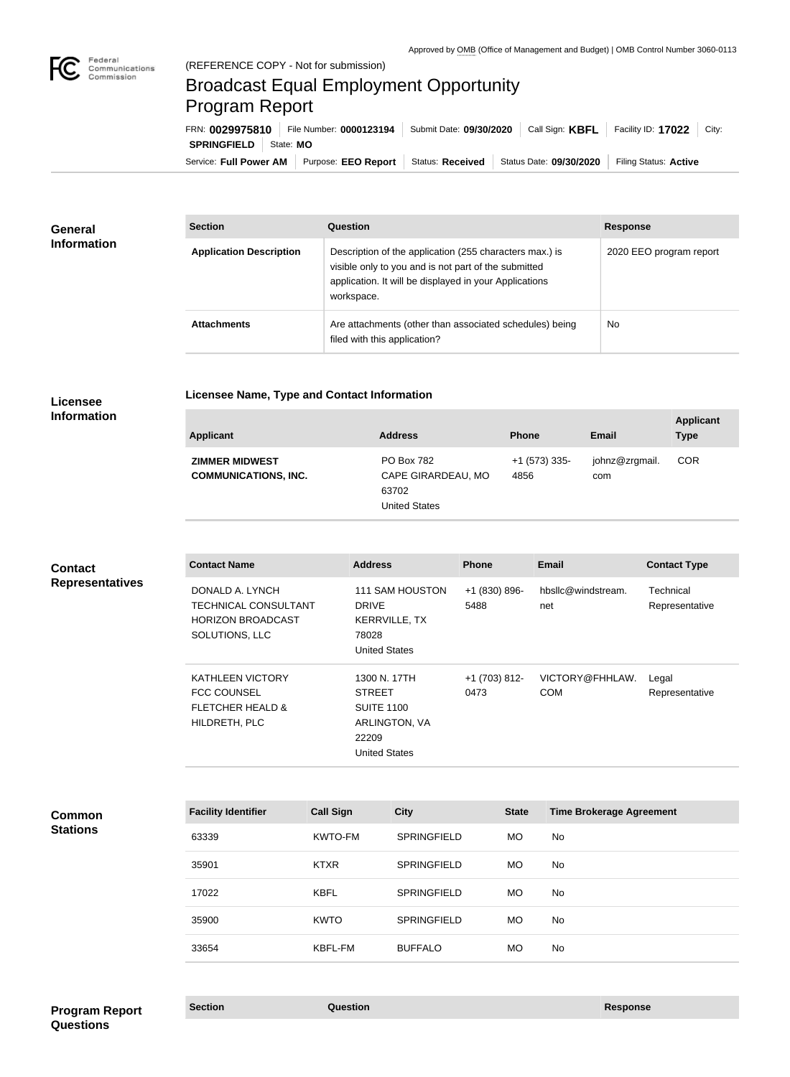

## Broadcast Equal Employment Opportunity Program Report

**Licensee Name, Type and Contact Information**

Service: Full Power AM | Purpose: EEO Report | Status: Received | Status Date: 09/30/2020 | Filing Status: Active **SPRINGFIELD** | State: MO FRN: **0029975810** File Number: **0000123194** Submit Date: **09/30/2020** Call Sign: **KBFL** Facility ID: **17022** City:

| <b>General</b><br><b>Information</b> | <b>Section</b>                 | Question                                                                                                                                                                                | <b>Response</b>         |
|--------------------------------------|--------------------------------|-----------------------------------------------------------------------------------------------------------------------------------------------------------------------------------------|-------------------------|
|                                      | <b>Application Description</b> | Description of the application (255 characters max.) is<br>visible only to you and is not part of the submitted<br>application. It will be displayed in your Applications<br>workspace. | 2020 EEO program report |
|                                      | <b>Attachments</b>             | Are attachments (other than associated schedules) being<br>filed with this application?                                                                                                 | <b>No</b>               |

## **Licensee Information**

| <b>Applicant</b>                                     | <b>Address</b>                                                           | <b>Phone</b>          | <b>Email</b>          | <b>Applicant</b><br><b>Type</b> |
|------------------------------------------------------|--------------------------------------------------------------------------|-----------------------|-----------------------|---------------------------------|
| <b>ZIMMER MIDWEST</b><br><b>COMMUNICATIONS, INC.</b> | <b>PO Box 782</b><br>CAPE GIRARDEAU, MO<br>63702<br><b>United States</b> | +1 (573) 335-<br>4856 | johnz@zrgmail.<br>com | <b>COR</b>                      |

## **Contact Name Address Phone Email Contact Type** DONALD A. LYNCH TECHNICAL CONSULTANT HORIZON BROADCAST SOLUTIONS, LLC 111 SAM HOUSTON DRIVE KERRVILLE, TX 78028 United States +1 (830) 896- 5488 hbsllc@windstream. net **Technical** Representative KATHLEEN VICTORY FCC COUNSEL FLETCHER HEALD & HILDRETH, PLC 1300 N. 17TH STREET SUITE 1100 ARLINGTON, VA 22209 United States +1 (703) 812- 0473 VICTORY@FHHLAW. COM Legal Representative **Facility Identifier Call Sign City State Time Brokerage Agreement** 63339 KWTO-FM SPRINGFIELD MO No 35901 KTXR SPRINGFIELD MO No **Common Stations Contact Representatives**

17022 KBFL SPRINGFIELD MO No